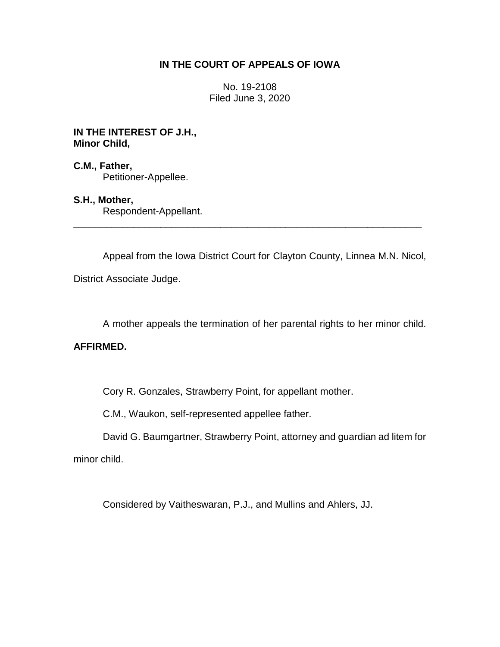# **IN THE COURT OF APPEALS OF IOWA**

No. 19-2108 Filed June 3, 2020

**IN THE INTEREST OF J.H., Minor Child,**

**C.M., Father,** Petitioner-Appellee.

**S.H., Mother,** Respondent-Appellant.

Appeal from the Iowa District Court for Clayton County, Linnea M.N. Nicol,

\_\_\_\_\_\_\_\_\_\_\_\_\_\_\_\_\_\_\_\_\_\_\_\_\_\_\_\_\_\_\_\_\_\_\_\_\_\_\_\_\_\_\_\_\_\_\_\_\_\_\_\_\_\_\_\_\_\_\_\_\_\_\_\_

District Associate Judge.

A mother appeals the termination of her parental rights to her minor child.

# **AFFIRMED.**

Cory R. Gonzales, Strawberry Point, for appellant mother.

C.M., Waukon, self-represented appellee father.

David G. Baumgartner, Strawberry Point, attorney and guardian ad litem for

minor child.

Considered by Vaitheswaran, P.J., and Mullins and Ahlers, JJ.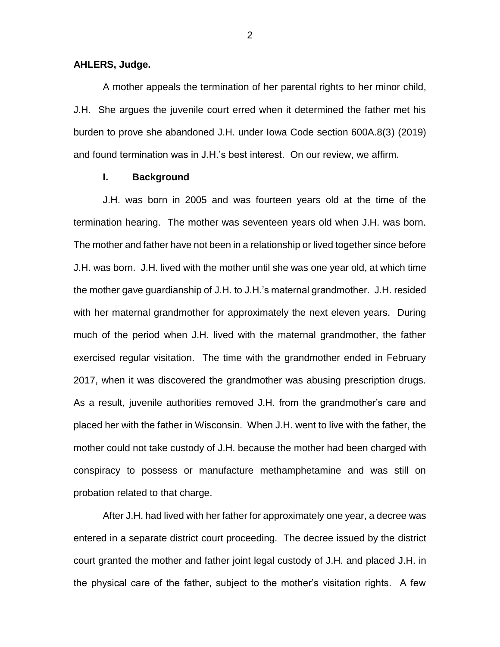### **AHLERS, Judge.**

A mother appeals the termination of her parental rights to her minor child, J.H. She argues the juvenile court erred when it determined the father met his burden to prove she abandoned J.H. under Iowa Code section 600A.8(3) (2019) and found termination was in J.H.'s best interest. On our review, we affirm.

#### **I. Background**

J.H. was born in 2005 and was fourteen years old at the time of the termination hearing. The mother was seventeen years old when J.H. was born. The mother and father have not been in a relationship or lived together since before J.H. was born. J.H. lived with the mother until she was one year old, at which time the mother gave guardianship of J.H. to J.H.'s maternal grandmother. J.H. resided with her maternal grandmother for approximately the next eleven years. During much of the period when J.H. lived with the maternal grandmother, the father exercised regular visitation. The time with the grandmother ended in February 2017, when it was discovered the grandmother was abusing prescription drugs. As a result, juvenile authorities removed J.H. from the grandmother's care and placed her with the father in Wisconsin. When J.H. went to live with the father, the mother could not take custody of J.H. because the mother had been charged with conspiracy to possess or manufacture methamphetamine and was still on probation related to that charge.

After J.H. had lived with her father for approximately one year, a decree was entered in a separate district court proceeding. The decree issued by the district court granted the mother and father joint legal custody of J.H. and placed J.H. in the physical care of the father, subject to the mother's visitation rights. A few

2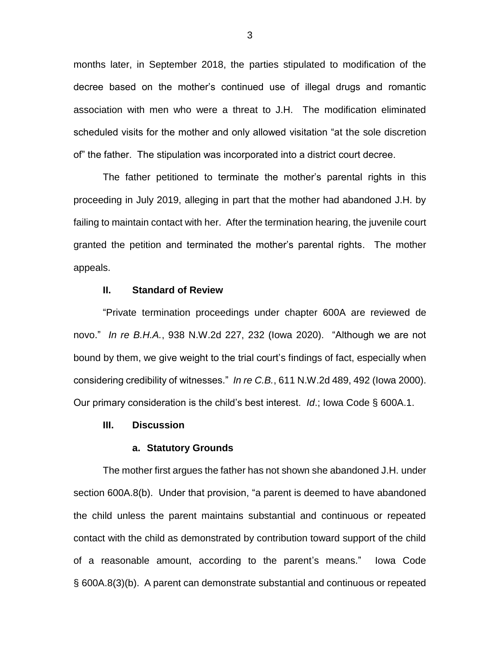months later, in September 2018, the parties stipulated to modification of the decree based on the mother's continued use of illegal drugs and romantic association with men who were a threat to J.H. The modification eliminated scheduled visits for the mother and only allowed visitation "at the sole discretion of" the father. The stipulation was incorporated into a district court decree.

The father petitioned to terminate the mother's parental rights in this proceeding in July 2019, alleging in part that the mother had abandoned J.H. by failing to maintain contact with her. After the termination hearing, the juvenile court granted the petition and terminated the mother's parental rights. The mother appeals.

### **II. Standard of Review**

"Private termination proceedings under chapter 600A are reviewed de novo." *In re B.H.A.*, 938 N.W.2d 227, 232 (Iowa 2020). "Although we are not bound by them, we give weight to the trial court's findings of fact, especially when considering credibility of witnesses." *In re C.B.*, 611 N.W.2d 489, 492 (Iowa 2000). Our primary consideration is the child's best interest. *Id*.; Iowa Code § 600A.1.

#### **III. Discussion**

# **a. Statutory Grounds**

The mother first argues the father has not shown she abandoned J.H. under section 600A.8(b). Under that provision, "a parent is deemed to have abandoned the child unless the parent maintains substantial and continuous or repeated contact with the child as demonstrated by contribution toward support of the child of a reasonable amount, according to the parent's means." Iowa Code § 600A.8(3)(b). A parent can demonstrate substantial and continuous or repeated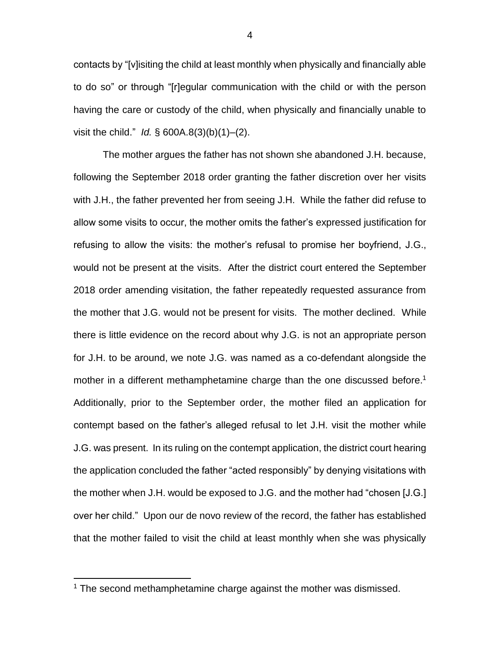contacts by "[v]isiting the child at least monthly when physically and financially able to do so" or through "[r]egular communication with the child or with the person having the care or custody of the child, when physically and financially unable to visit the child." *Id.* § 600A.8(3)(b)(1)–(2).

The mother argues the father has not shown she abandoned J.H. because, following the September 2018 order granting the father discretion over her visits with J.H., the father prevented her from seeing J.H. While the father did refuse to allow some visits to occur, the mother omits the father's expressed justification for refusing to allow the visits: the mother's refusal to promise her boyfriend, J.G., would not be present at the visits. After the district court entered the September 2018 order amending visitation, the father repeatedly requested assurance from the mother that J.G. would not be present for visits. The mother declined. While there is little evidence on the record about why J.G. is not an appropriate person for J.H. to be around, we note J.G. was named as a co-defendant alongside the mother in a different methamphetamine charge than the one discussed before.<sup>1</sup> Additionally, prior to the September order, the mother filed an application for contempt based on the father's alleged refusal to let J.H. visit the mother while J.G. was present. In its ruling on the contempt application, the district court hearing the application concluded the father "acted responsibly" by denying visitations with the mother when J.H. would be exposed to J.G. and the mother had "chosen [J.G.] over her child." Upon our de novo review of the record, the father has established that the mother failed to visit the child at least monthly when she was physically

 $\overline{a}$ 

<sup>&</sup>lt;sup>1</sup> The second methamphetamine charge against the mother was dismissed.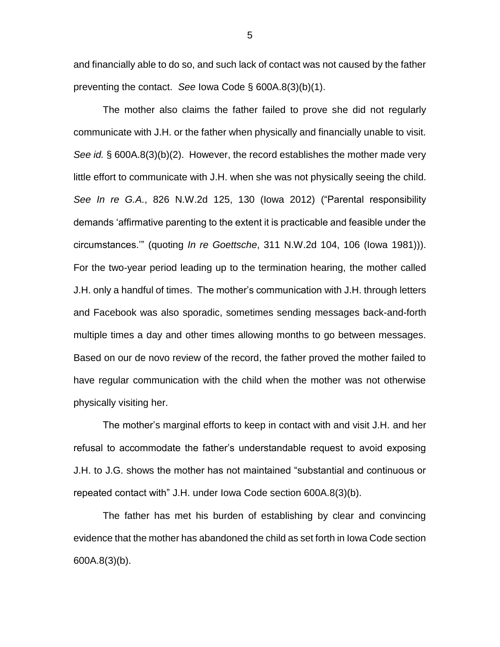and financially able to do so, and such lack of contact was not caused by the father preventing the contact. *See* Iowa Code § 600A.8(3)(b)(1).

The mother also claims the father failed to prove she did not regularly communicate with J.H. or the father when physically and financially unable to visit. *See id.* § 600A.8(3)(b)(2). However, the record establishes the mother made very little effort to communicate with J.H. when she was not physically seeing the child. *See In re G.A.*, 826 N.W.2d 125, 130 (Iowa 2012) ("Parental responsibility demands 'affirmative parenting to the extent it is practicable and feasible under the circumstances.'" (quoting *In re Goettsche*, 311 N.W.2d 104, 106 (Iowa 1981))). For the two-year period leading up to the termination hearing, the mother called J.H. only a handful of times. The mother's communication with J.H. through letters and Facebook was also sporadic, sometimes sending messages back-and-forth multiple times a day and other times allowing months to go between messages. Based on our de novo review of the record, the father proved the mother failed to have regular communication with the child when the mother was not otherwise physically visiting her.

The mother's marginal efforts to keep in contact with and visit J.H. and her refusal to accommodate the father's understandable request to avoid exposing J.H. to J.G. shows the mother has not maintained "substantial and continuous or repeated contact with" J.H. under Iowa Code section 600A.8(3)(b).

The father has met his burden of establishing by clear and convincing evidence that the mother has abandoned the child as set forth in Iowa Code section 600A.8(3)(b).

5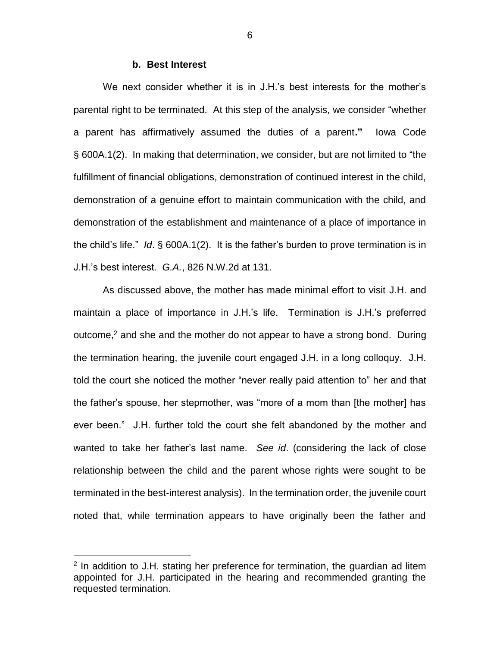#### **b. Best Interest**

We next consider whether it is in J.H.'s best interests for the mother's parental right to be terminated. At this step of the analysis, we consider "whether a parent has affirmatively assumed the duties of a parent**."** Iowa Code § 600A.1(2). In making that determination, we consider, but are not limited to "the fulfillment of financial obligations, demonstration of continued interest in the child, demonstration of a genuine effort to maintain communication with the child, and demonstration of the establishment and maintenance of a place of importance in the child's life." *Id*. § 600A.1(2). It is the father's burden to prove termination is in J.H.'s best interest. *G.A.*, 826 N.W.2d at 131.

As discussed above, the mother has made minimal effort to visit J.H. and maintain a place of importance in J.H.'s life. Termination is J.H.'s preferred outcome,<sup>2</sup> and she and the mother do not appear to have a strong bond. During the termination hearing, the juvenile court engaged J.H. in a long colloquy. J.H. told the court she noticed the mother "never really paid attention to" her and that the father's spouse, her stepmother, was "more of a mom than [the mother] has ever been." J.H. further told the court she felt abandoned by the mother and wanted to take her father's last name. *See id*. (considering the lack of close relationship between the child and the parent whose rights were sought to be terminated in the best-interest analysis). In the termination order, the juvenile court noted that, while termination appears to have originally been the father and

 $\overline{a}$ 

 $2$  In addition to J.H. stating her preference for termination, the guardian ad litem appointed for J.H. participated in the hearing and recommended granting the requested termination.